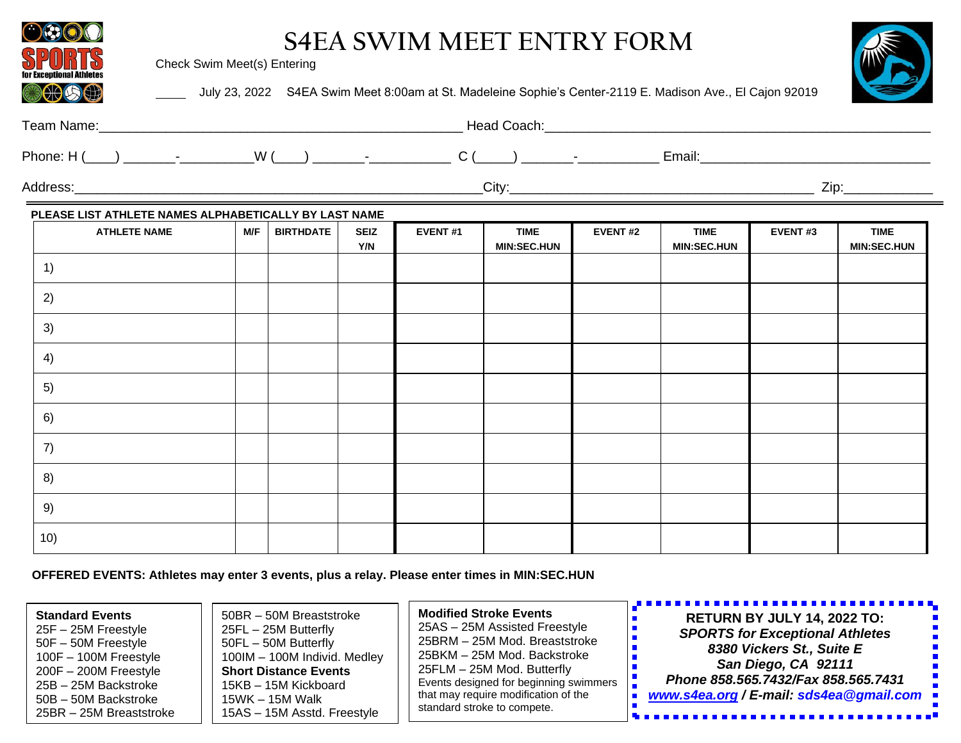| (300S)                                                | Check Swim Meet(s) Entering |                  |                    |         | <b>S4EA SWIM MEET ENTRY FORM</b>  |                | July 23, 2022 S4EA Swim Meet 8:00am at St. Madeleine Sophie's Center-2119 E. Madison Ave., El Cajon 92019 |         |                                   |
|-------------------------------------------------------|-----------------------------|------------------|--------------------|---------|-----------------------------------|----------------|-----------------------------------------------------------------------------------------------------------|---------|-----------------------------------|
|                                                       |                             |                  |                    |         |                                   |                |                                                                                                           |         |                                   |
|                                                       |                             |                  |                    |         |                                   |                |                                                                                                           |         |                                   |
|                                                       |                             |                  |                    |         |                                   |                |                                                                                                           |         |                                   |
| PLEASE LIST ATHLETE NAMES ALPHABETICALLY BY LAST NAME |                             |                  |                    |         |                                   |                |                                                                                                           |         |                                   |
| <b>ATHLETE NAME</b>                                   | M/F                         | <b>BIRTHDATE</b> | <b>SEIZ</b><br>Y/N | EVENT#1 | <b>TIME</b><br><b>MIN:SEC.HUN</b> | <b>EVENT#2</b> | <b>TIME</b><br><b>MIN:SEC.HUN</b>                                                                         | EVENT#3 | <b>TIME</b><br><b>MIN:SEC.HUN</b> |
| 1)                                                    |                             |                  |                    |         |                                   |                |                                                                                                           |         |                                   |
| 2)                                                    |                             |                  |                    |         |                                   |                |                                                                                                           |         |                                   |
| 3)                                                    |                             |                  |                    |         |                                   |                |                                                                                                           |         |                                   |
| 4)                                                    |                             |                  |                    |         |                                   |                |                                                                                                           |         |                                   |
| 5)                                                    |                             |                  |                    |         |                                   |                |                                                                                                           |         |                                   |
| 6)                                                    |                             |                  |                    |         |                                   |                |                                                                                                           |         |                                   |
| 7)                                                    |                             |                  |                    |         |                                   |                |                                                                                                           |         |                                   |
| 8)                                                    |                             |                  |                    |         |                                   |                |                                                                                                           |         |                                   |
| 9)                                                    |                             |                  |                    |         |                                   |                |                                                                                                           |         |                                   |
| 10)                                                   |                             |                  |                    |         |                                   |                |                                                                                                           |         |                                   |

 **OFFERED EVENTS: Athletes may enter 3 events, plus a relay. Please enter times in MIN:SEC.HUN**

| <b>Standard Events</b><br>25FL - 25M Butterfly<br>25F - 25M Freestyle<br>50FL - 50M Butterfly<br>50F – 50M Freestyle<br>100F - 100M Freestyle<br><b>Short Distance Events</b><br>$200F - 200M$ Freestyle<br>15KB - 15M Kickboard<br>25B – 25M Backstroke<br>50B - 50M Backstroke<br>15WK - 15M Walk<br>25BR - 25M Breaststroke | <b>Modified Stroke Events</b><br>50BR - 50M Breaststroke<br>25AS - 25M Assisted Freestyle<br>25BRM - 25M Mod. Breaststroke<br>25BKM – 25M Mod. Backstroke<br>100IM - 100M Individ. Medley<br>25FLM – 25M Mod. Butterfly<br>Events designed for beginning swimmers<br>that may require modification of the<br>standard stroke to compete.<br>15AS - 15M Asstd. Freestyle | <u>,,,,,,,,,,,,,,,,,,,,,,,,,,,,,,,,</u><br><b>RETURN BY JULY 14, 2022 TO:</b><br><b>SPORTS for Exceptional Athletes</b><br>8380 Vickers St., Suite E<br>San Diego, CA 92111<br>Phone 858.565.7432/Fax 858.565.7431<br>www.s4ea.org / E-mail: sds4ea@gmail.com ■ |
|--------------------------------------------------------------------------------------------------------------------------------------------------------------------------------------------------------------------------------------------------------------------------------------------------------------------------------|-------------------------------------------------------------------------------------------------------------------------------------------------------------------------------------------------------------------------------------------------------------------------------------------------------------------------------------------------------------------------|-----------------------------------------------------------------------------------------------------------------------------------------------------------------------------------------------------------------------------------------------------------------|
|--------------------------------------------------------------------------------------------------------------------------------------------------------------------------------------------------------------------------------------------------------------------------------------------------------------------------------|-------------------------------------------------------------------------------------------------------------------------------------------------------------------------------------------------------------------------------------------------------------------------------------------------------------------------------------------------------------------------|-----------------------------------------------------------------------------------------------------------------------------------------------------------------------------------------------------------------------------------------------------------------|